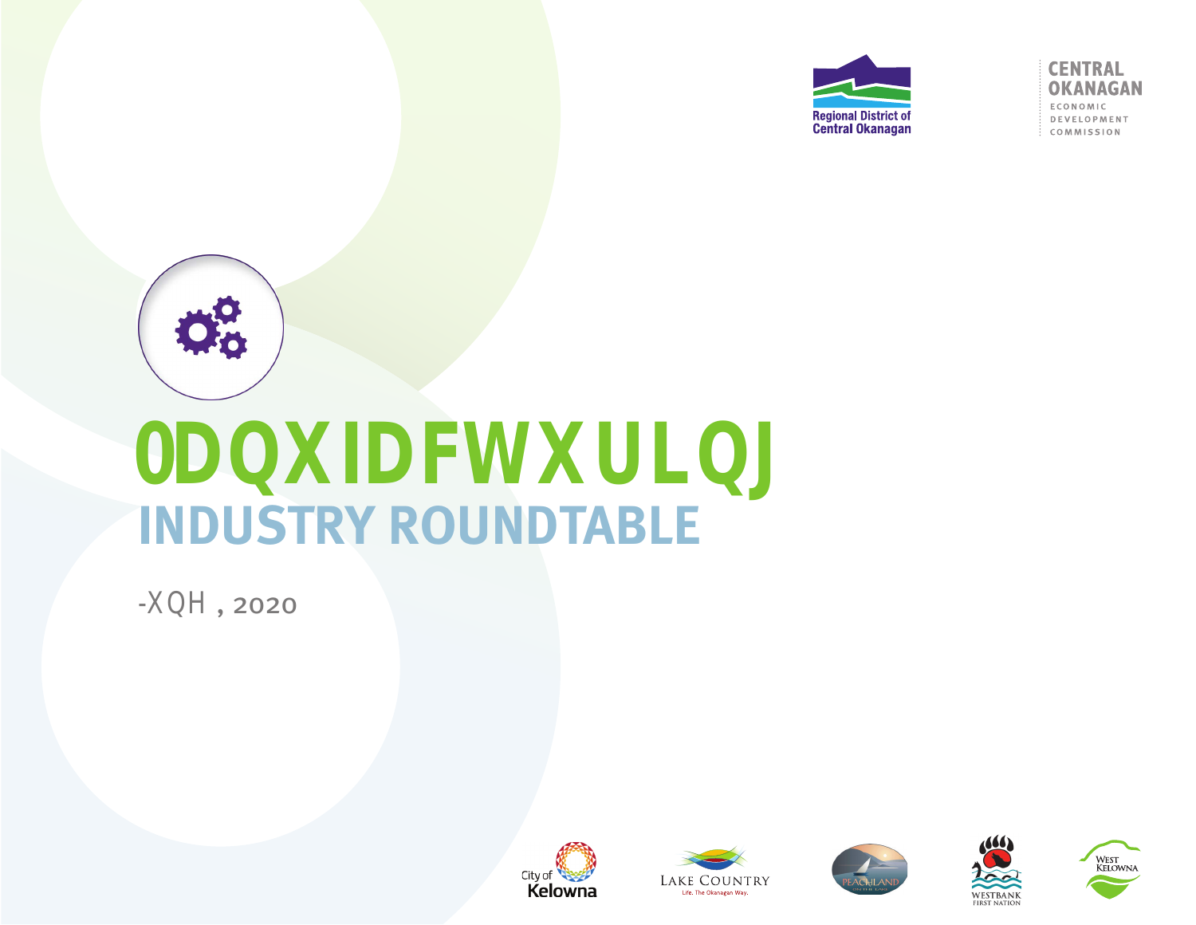

**CENTRAL OKANAGAN** ECONOMIC DEVELOPMENT COMMISSION



# **INDUSTRY ROUNDTABLE**

**-XQH** , 2020









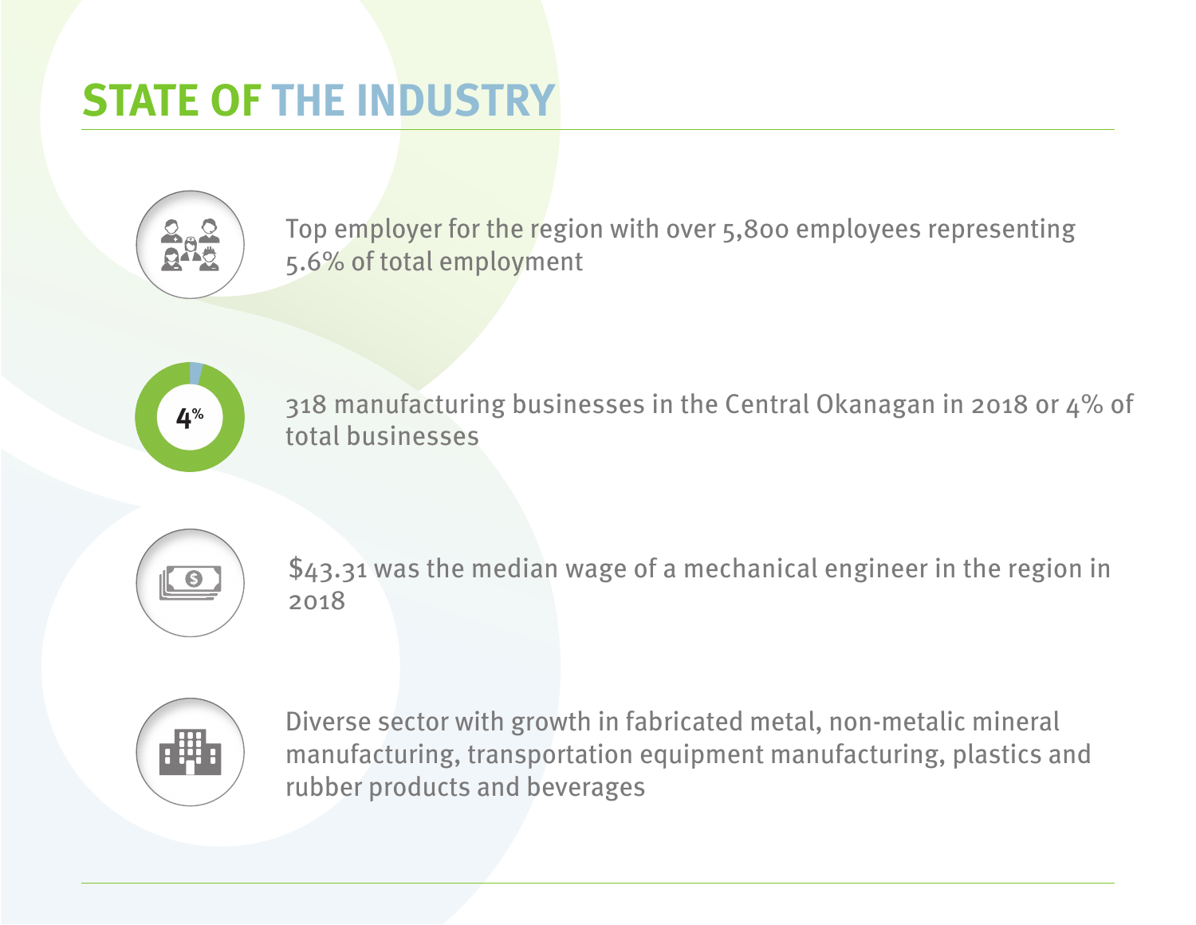### **STATE OF THE INDUSTRY**



Top employer for the region with over 5,800 employees representing 5.6% of total employment



318 manufacturing businesses in the Central Okanagan in 2018 or 4% of total businesses



\$43.31 was the median wage of a mechanical engineer in the region in 2018



Diverse sector with growth in fabricated metal, non-metalic mineral manufacturing, transportation equipment manufacturing, plastics and rubber products and beverages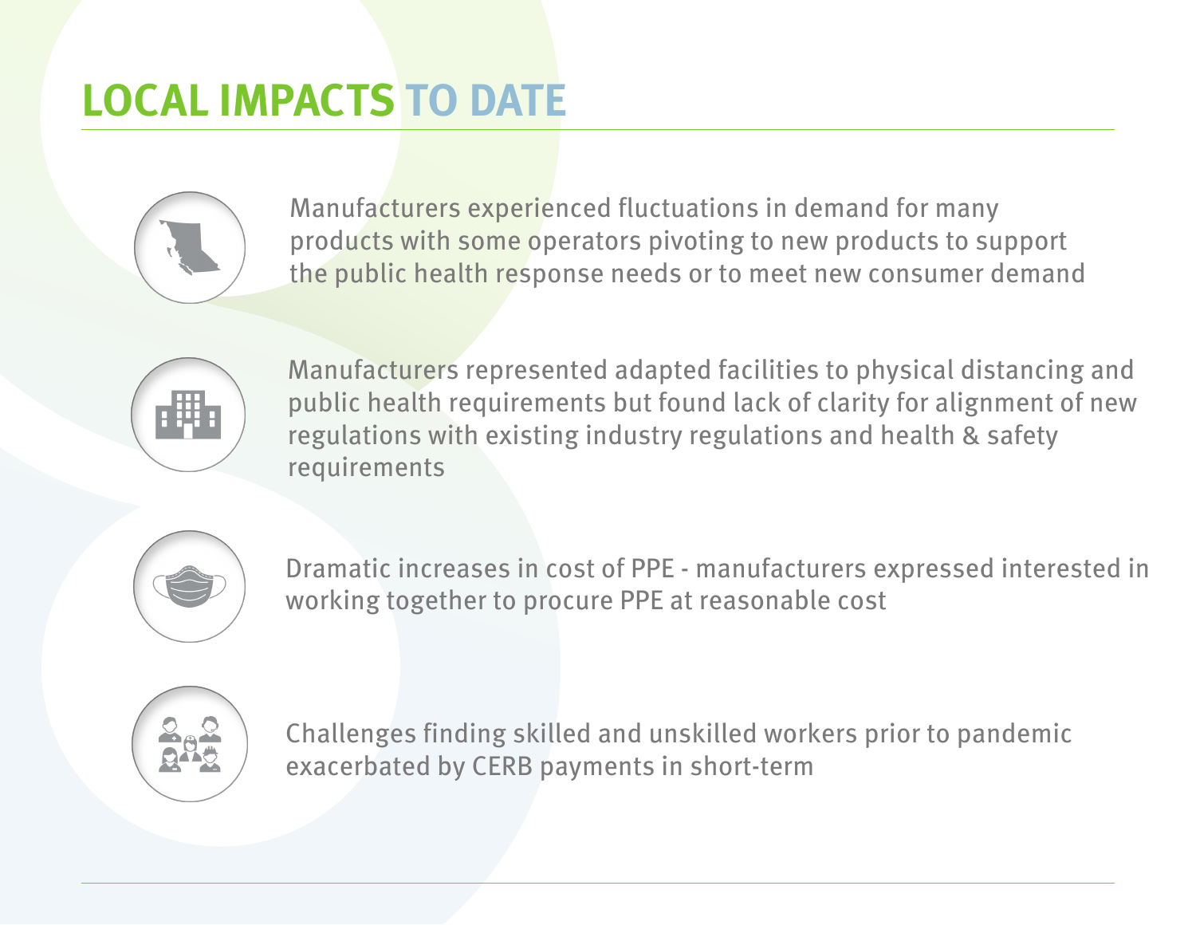## **LOCAL IMPACTS TO DATE**



Manufacturers experienced fluctuations in demand for many products with some operators pivoting to new products to support the public health response needs or to meet new consumer demand



Manufacturers represented adapted facilities to physical distancing and public health requirements but found lack of clarity for alignment of new regulations with existing industry regulations and health & safety requirements



Dramatic increases in cost of PPE - manufacturers expressed interested in working together to procure PPE at reasonable cost



Challenges finding skilled and unskilled workers prior to pandemic exacerbated by CERB payments in short-term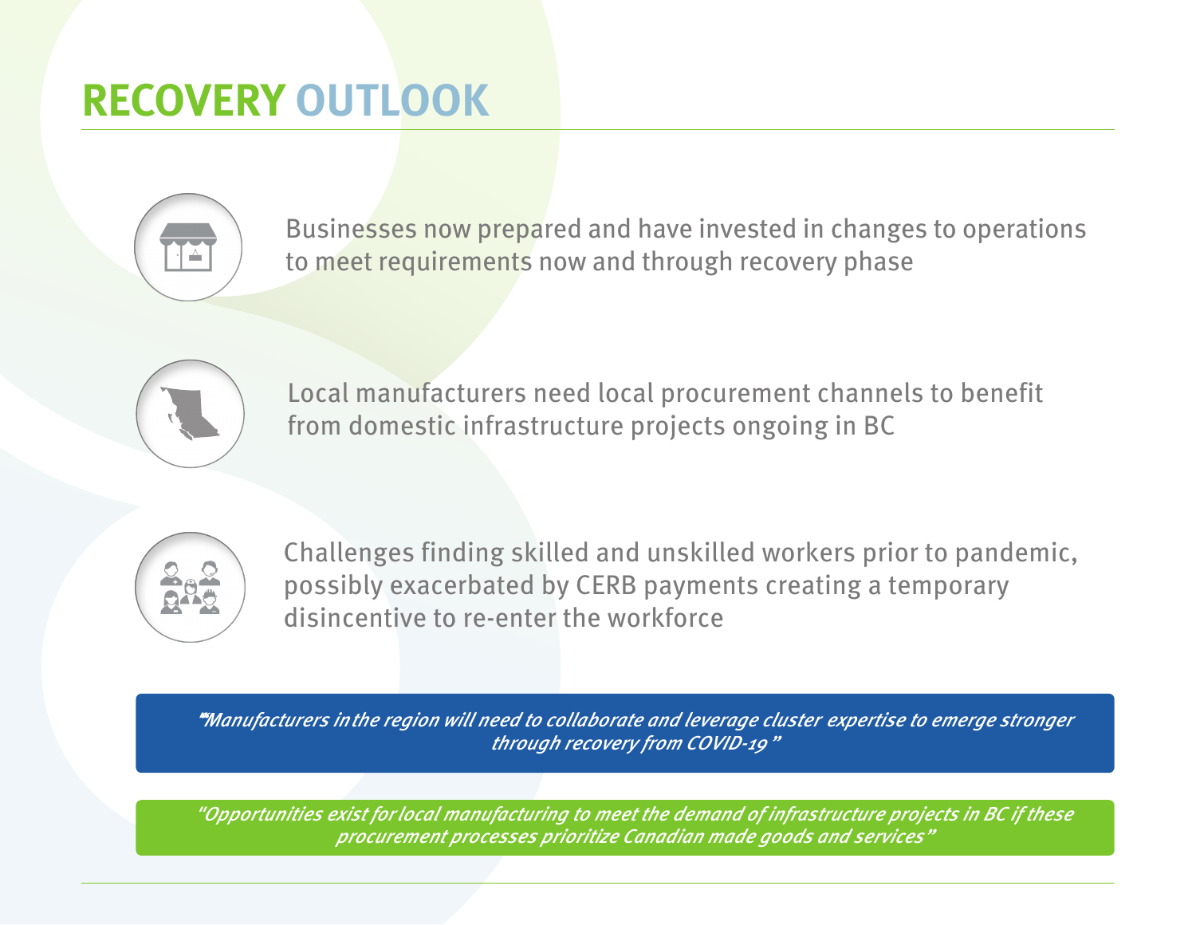### **RECOVERY OUTLOOK**



Businesses now prepared and have invested in changes to operations to meet requirements now and through recovery phase



Local manufacturers need local procurement channels to benefit from domestic infrastructure projects ongoing in BC



Challenges finding skilled and unskilled workers prior to pandemic, possibly exacerbated by CERB payments creating a temporary disincentive to re-enter the workforce

*""Manufacturers in the region will need to collaborate and leverage cluster expertise to emerge stronger through recovery from COVID-19 "*

*"Opportunities exist for local manufacturing to meet the demand of infrastructure projects in BC if these procurement processes prioritize Canadian made goods and services"*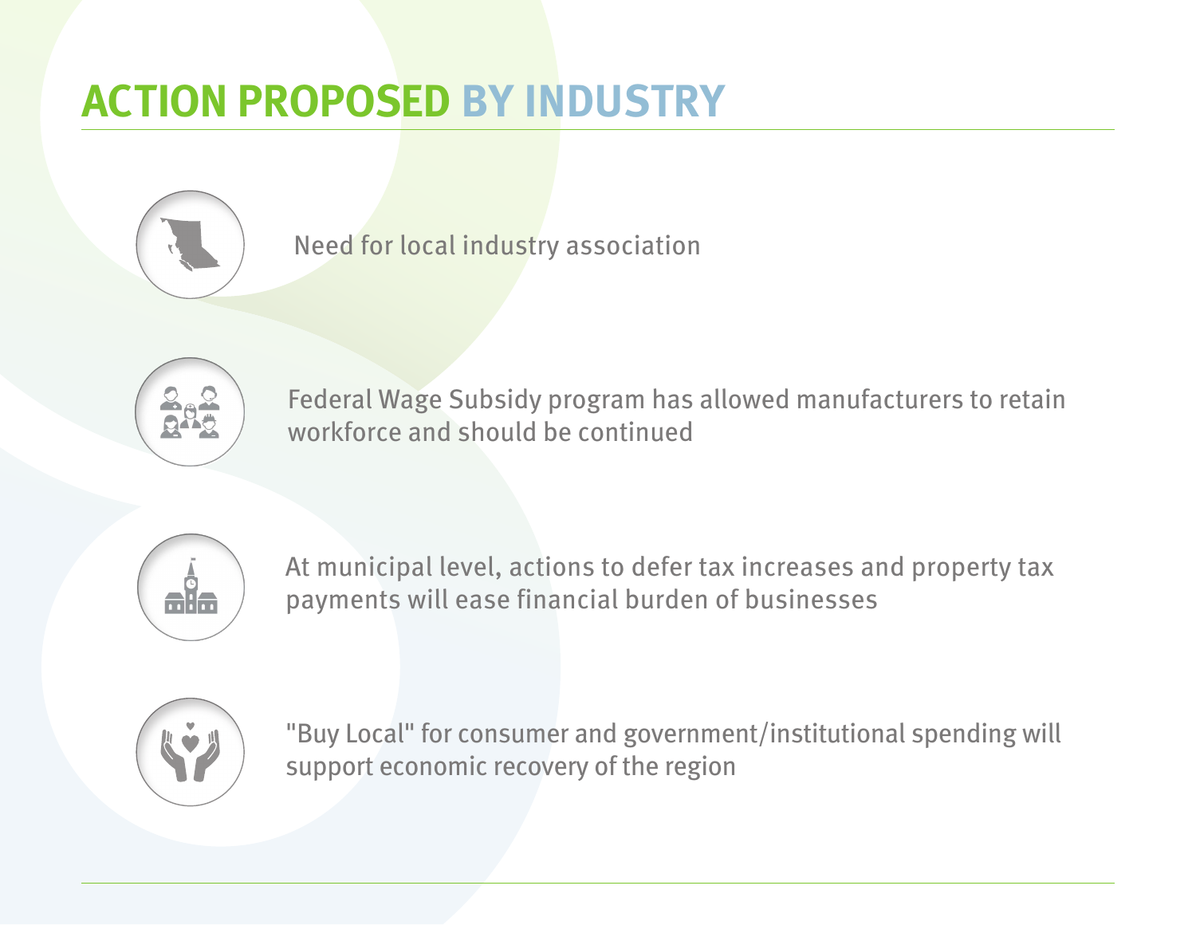### **ACTION PROPOSED BY INDUSTRY**



Need for local industry association



Federal Wage Subsidy program has allowed manufacturers to retain workforce and should be continued



At municipal level, actions to defer tax increases and property tax payments will ease financial burden of businesses



"Buy Local" for consumer and government/institutional spending will support economic recovery of the region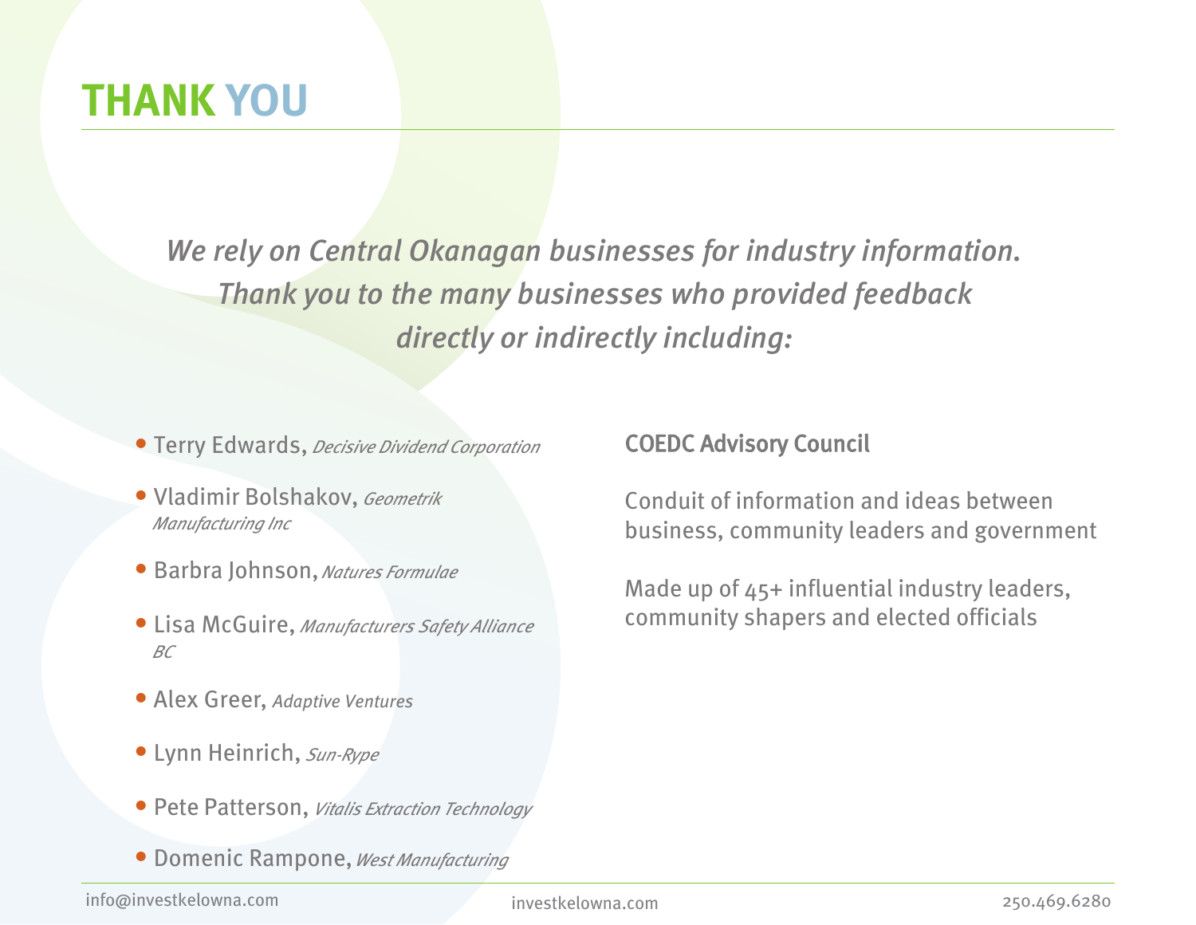### **THANK YOU**

*We rely on Central Okanagan businesses for industry information. Thank you to the many businesses who provided feedback directly or indirectly including:*

- **•** Terry Edwards, *Decisive Dividend Corporation*
- **•** Vladimir Bolshakov, *Geometrik Manufacturing Inc*
- **•** Barbra Johnson, *Natures Formulae*
- **•** Lisa McGuire, *Manufacturers Safety Alliance BC*
- **•** Alex Greer, *Adaptive Ventures*
- **•** Lynn Heinrich, *Sun-Rype*
- **•** Pete Patterson, *Vitalis Extraction Technology*
- **•** Domenic Rampone, *West Manufacturing*

COEDC Advisory Council

Conduit of information and ideas between business, community leaders and government

Made up of 45+ influential industry leaders, community shapers and elected officials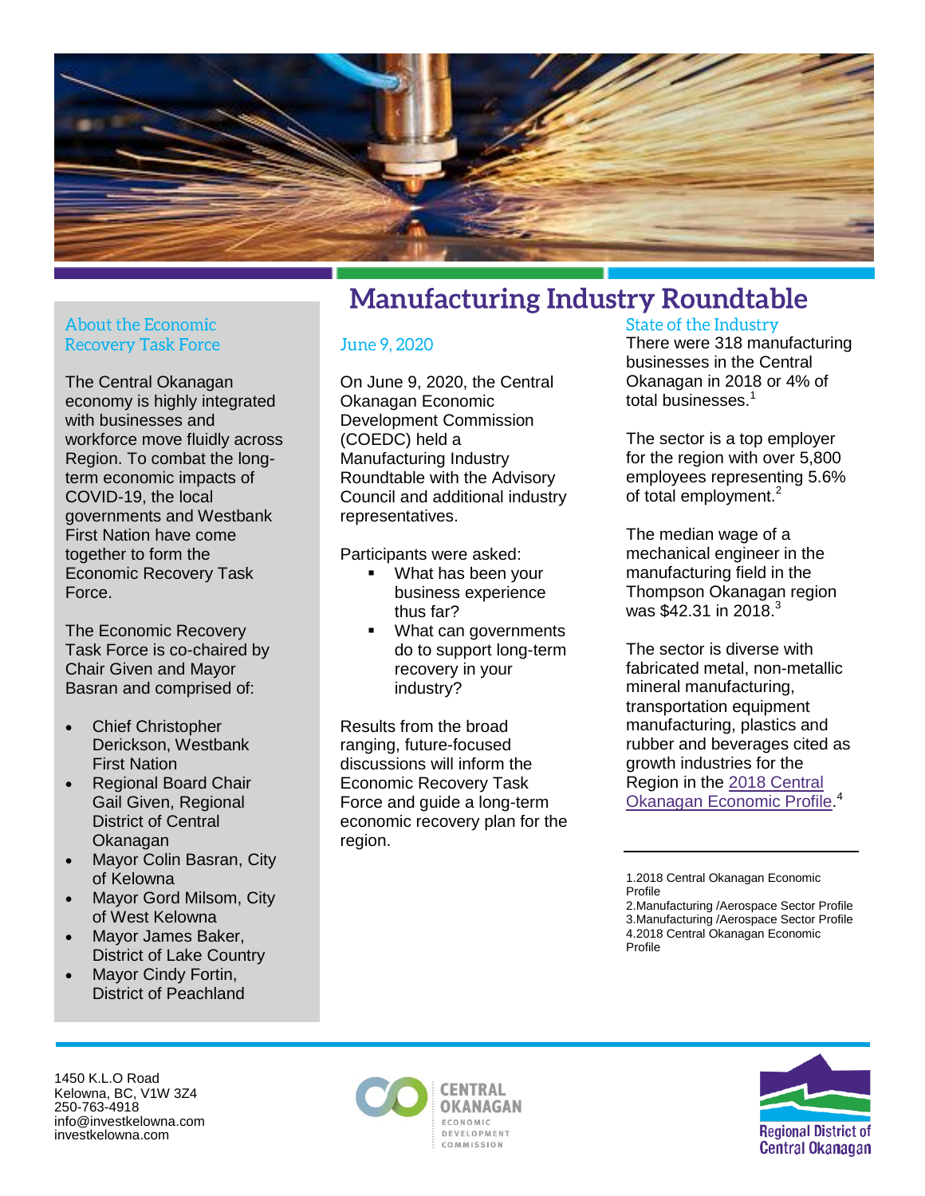

#### **About the Economic Recovery Task Force**

The Central Okanagan economy is highly integrated with businesses and workforce move fluidly across Region. To combat the longterm economic impacts of COVID-19, the local governments and Westbank First Nation have come together to form the Economic Recovery Task Force.

The Economic Recovery Task Force is co-chaired by Chair Given and Mayor Basran and comprised of:

- Chief Christopher Derickson, Westbank First Nation
- Regional Board Chair Gail Given, Regional District of Central Okanagan
- Mayor Colin Basran, City of Kelowna
- Mayor Gord Milsom, City of West Kelowna
- Mayor James Baker, District of Lake Country
- Mayor Cindy Fortin, District of Peachland

### **Manufacturing Industry Roundtable**

#### June 9, 2020

On June 9, 2020, the Central Okanagan Economic Development Commission (COEDC) held a Manufacturing Industry Roundtable with the Advisory Council and additional industry representatives.

Participants were asked:

- What has been your business experience thus far?
- What can governments do to support long-term recovery in your industry?

Results from the broad ranging, future-focused discussions will inform the Economic Recovery Task Force and guide a long-term economic recovery plan for the region.

#### **State of the Industry**

There were 318 manufacturing businesses in the Central Okanagan in 2018 or 4% of total businesses.<sup>1</sup>

The sector is a top employer for the region with over 5,800 employees representing 5.6% of total employment.<sup>2</sup>

The median wage of a mechanical engineer in the manufacturing field in the Thompson Okanagan region was \$42.31 in 2018.<sup>3</sup>

The sector is diverse with fabricated metal, non-metallic mineral manufacturing, transportation equipment manufacturing, plastics and rubber and beverages cited as growth industries for the Region in the [2018 Central](https://www.investkelowna.com/application/files/7715/3815/6564/2018_Central_Okanagan_Economic_Profile_-_RSPDF.pdf)  [Okanagan Economic Profile.](https://www.investkelowna.com/application/files/7715/3815/6564/2018_Central_Okanagan_Economic_Profile_-_RSPDF.pdf) 4

1450 K.L.O Road Kelowna, BC, V1W 3Z4 250-763-4918 info@investkelowna.com investkelowna.com





<sup>1.2018</sup> Central Okanagan Economic Profile

<sup>2.</sup>Manufacturing /Aerospace Sector Profile 3.Manufacturing /Aerospace Sector Profile 4.2018 Central Okanagan Economic Profile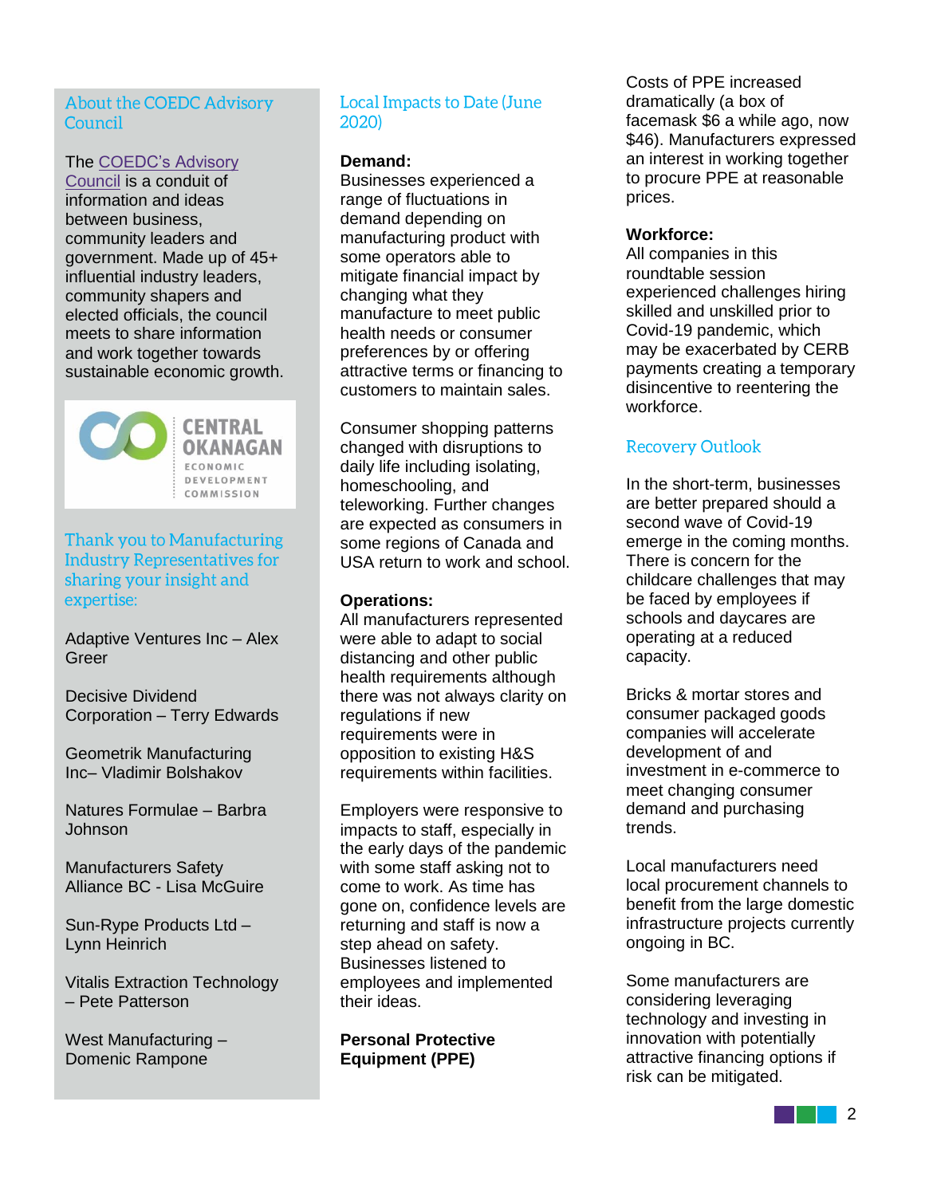#### **About the COEDC Advisory** Council

#### The [COEDC's Advisory](https://www.investkelowna.com/download_file/view/762/)

[Council](https://www.investkelowna.com/download_file/view/762/) is a conduit of information and ideas between business, community leaders and government. Made up of 45+ influential industry leaders, community shapers and elected officials, the council meets to share information and work together towards sustainable economic growth.



#### Thank you to Manufacturing **Industry Representatives for** sharing your insight and expertise:

Adaptive Ventures Inc – Alex Greer

Decisive Dividend Corporation – Terry Edwards

Geometrik Manufacturing Inc– Vladimir Bolshakov

Natures Formulae – Barbra Johnson

Manufacturers Safety Alliance BC - Lisa McGuire

Sun-Rype Products Ltd – Lynn Heinrich

Vitalis Extraction Technology – Pete Patterson

West Manufacturing – Domenic Rampone

#### **Local Impacts to Date (June** 2020)

#### **Demand:**

Businesses experienced a range of fluctuations in demand depending on manufacturing product with some operators able to mitigate financial impact by changing what they manufacture to meet public health needs or consumer preferences by or offering attractive terms or financing to customers to maintain sales.

Consumer shopping patterns changed with disruptions to daily life including isolating, homeschooling, and teleworking. Further changes are expected as consumers in some regions of Canada and USA return to work and school.

#### **Operations:**

All manufacturers represented were able to adapt to social distancing and other public health requirements although there was not always clarity on regulations if new requirements were in opposition to existing H&S requirements within facilities.

Employers were responsive to impacts to staff, especially in the early days of the pandemic with some staff asking not to come to work. As time has gone on, confidence levels are returning and staff is now a step ahead on safety. Businesses listened to employees and implemented their ideas.

**Personal Protective Equipment (PPE)**

Costs of PPE increased dramatically (a box of facemask \$6 a while ago, now \$46). Manufacturers expressed an interest in working together to procure PPE at reasonable prices.

#### **Workforce:**

All companies in this roundtable session experienced challenges hiring skilled and unskilled prior to Covid-19 pandemic, which may be exacerbated by CERB payments creating a temporary disincentive to reentering the workforce.

#### **Recovery Outlook**

In the short-term, businesses are better prepared should a second wave of Covid-19 emerge in the coming months. There is concern for the childcare challenges that may be faced by employees if schools and daycares are operating at a reduced capacity.

Bricks & mortar stores and consumer packaged goods companies will accelerate development of and investment in e-commerce to meet changing consumer demand and purchasing trends.

Local manufacturers need local procurement channels to benefit from the large domestic infrastructure projects currently ongoing in BC.

Some manufacturers are considering leveraging technology and investing in innovation with potentially attractive financing options if risk can be mitigated.